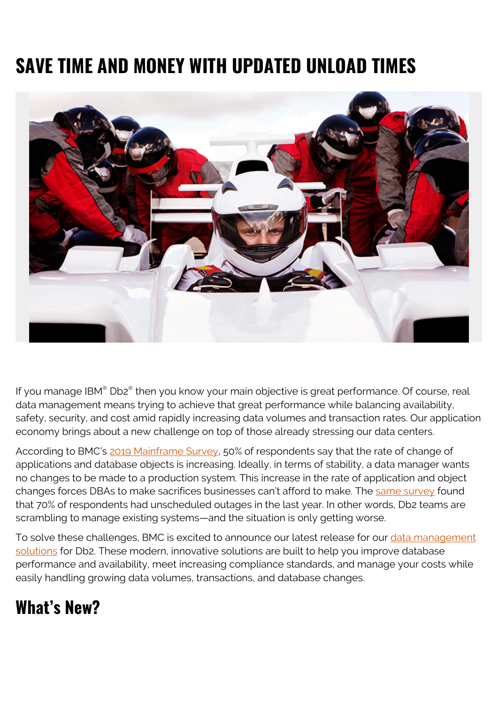# **SAVE TIME AND MONEY WITH UPDATED UNLOAD TIMES**



If you manage IBM® Db2® then you know your main objective is great performance. Of course, real data management means trying to achieve that great performance while balancing availability, safety, security, and cost amid rapidly increasing data volumes and transaction rates. Our application economy brings about a new challenge on top of those already stressing our data centers.

According to BMC's [2019 Mainframe Survey](https://blogs.bmc.com/info/mainframe-survey.html), 50% of respondents say that the rate of change of applications and database objects is increasing. Ideally, in terms of stability, a data manager wants no changes to be made to a production system. This increase in the rate of application and object changes forces DBAs to make sacrifices businesses can't afford to make. The [same survey](https://blogs.bmc.com/info/mainframe-survey.html) found that 70% of respondents had unscheduled outages in the last year. In other words, Db2 teams are scrambling to manage existing systems—and the situation is only getting worse.

To solve these challenges, BMC is excited to announce our latest release for our [data management](https://blogs.bmc.com/it-solutions/database-management-db2-zos.html) [solutions](https://blogs.bmc.com/it-solutions/database-management-db2-zos.html) for Db2. These modern, innovative solutions are built to help you improve database performance and availability, meet increasing compliance standards, and manage your costs while easily handling growing data volumes, transactions, and database changes.

# **What's New?**